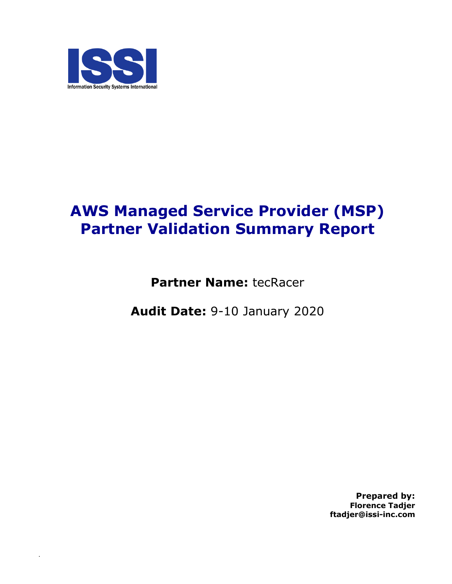

.

# **AWS Managed Service Provider (MSP) Partner Validation Summary Report**

**Partner Name:** tecRacer

**Audit Date:** 9-10 January 2020

**Prepared by: Florence Tadjer ftadjer@issi-inc.com**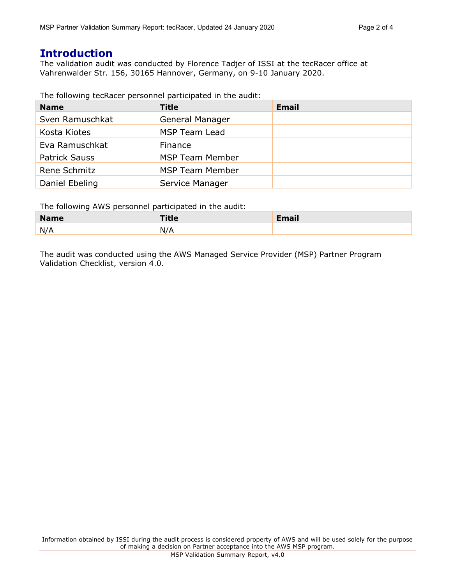## **Introduction**

The validation audit was conducted by Florence Tadjer of ISSI at the tecRacer office at Vahrenwalder Str. 156, 30165 Hannover, Germany, on 9-10 January 2020.

The following tecRacer personnel participated in the audit:

| <b>Name</b>          | <b>Title</b>           | <b>Email</b> |
|----------------------|------------------------|--------------|
| Sven Ramuschkat      | General Manager        |              |
| Kosta Kiotes         | MSP Team Lead          |              |
| Eva Ramuschkat       | Finance                |              |
| <b>Patrick Sauss</b> | <b>MSP Team Member</b> |              |
| Rene Schmitz         | <b>MSP Team Member</b> |              |
| Daniel Ebeling       | Service Manager        |              |

The following AWS personnel participated in the audit:

| M-<br>$- - -$ | $-1$<br>$-$<br>$\sim$ |  |
|---------------|-----------------------|--|
| N/<br>.       |                       |  |

The audit was conducted using the AWS Managed Service Provider (MSP) Partner Program Validation Checklist, version 4.0.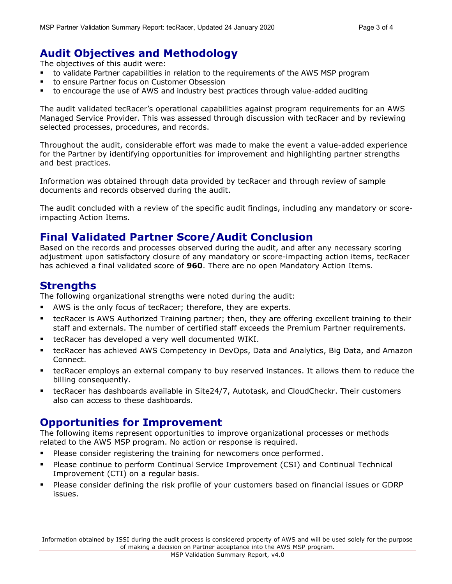## **Audit Objectives and Methodology**

The objectives of this audit were:

- to validate Partner capabilities in relation to the requirements of the AWS MSP program
- § to ensure Partner focus on Customer Obsession
- to encourage the use of AWS and industry best practices through value-added auditing

The audit validated tecRacer's operational capabilities against program requirements for an AWS Managed Service Provider. This was assessed through discussion with tecRacer and by reviewing selected processes, procedures, and records.

Throughout the audit, considerable effort was made to make the event a value-added experience for the Partner by identifying opportunities for improvement and highlighting partner strengths and best practices.

Information was obtained through data provided by tecRacer and through review of sample documents and records observed during the audit.

The audit concluded with a review of the specific audit findings, including any mandatory or scoreimpacting Action Items.

#### **Final Validated Partner Score/Audit Conclusion**

Based on the records and processes observed during the audit, and after any necessary scoring adjustment upon satisfactory closure of any mandatory or score-impacting action items, tecRacer has achieved a final validated score of **960**. There are no open Mandatory Action Items.

### **Strengths**

The following organizational strengths were noted during the audit:

- AWS is the only focus of tecRacer; therefore, they are experts.
- tecRacer is AWS Authorized Training partner; then, they are offering excellent training to their staff and externals. The number of certified staff exceeds the Premium Partner requirements.
- tecRacer has developed a very well documented WIKI.
- § tecRacer has achieved AWS Competency in DevOps, Data and Analytics, Big Data, and Amazon Connect.
- **■** tecRacer employs an external company to buy reserved instances. It allows them to reduce the billing consequently.
- § tecRacer has dashboards available in Site24/7, Autotask, and CloudCheckr. Their customers also can access to these dashboards.

#### **Opportunities for Improvement**

The following items represent opportunities to improve organizational processes or methods related to the AWS MSP program. No action or response is required.

- **•** Please consider registering the training for newcomers once performed.
- § Please continue to perform Continual Service Improvement (CSI) and Continual Technical Improvement (CTI) on a regular basis.
- § Please consider defining the risk profile of your customers based on financial issues or GDRP issues.